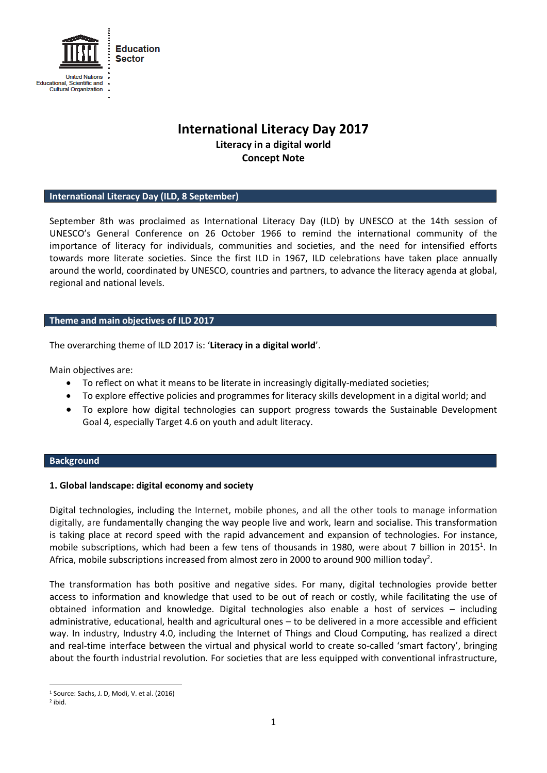

# **International Literacy Day 2017 Literacy in a digital world Concept Note**

### **International Literacy Day (ILD, 8 September)**

September 8th was proclaimed as International Literacy Day (ILD) by UNESCO at the 14th session of UNESCO's General Conference on 26 October 1966 to remind the international community of the importance of literacy for individuals, communities and societies, and the need for intensified efforts towards more literate societies. Since the first ILD in 1967, ILD celebrations have taken place annually around the world, coordinated by UNESCO, countries and partners, to advance the literacy agenda at global, regional and national levels.

#### **Theme and main objectives of ILD 2017**

The overarching theme of ILD 2017 is: '**Literacy in a digital world**'.

Main objectives are:

- To reflect on what it means to be literate in increasingly digitally-mediated societies;
- To explore effective policies and programmes for literacy skills development in a digital world; and
- To explore how digital technologies can support progress towards the Sustainable Development Goal 4, especially Target 4.6 on youth and adult literacy.

### **Background**

#### **1. Global landscape: digital economy and society**

Digital technologies, including the Internet, mobile phones, and all the other tools to manage information digitally, are fundamentally changing the way people live and work, learn and socialise. This transformation is taking place at record speed with the rapid advancement and expansion of technologies. For instance, mobile subscriptions, which had been a few tens of thousands in 1980, were about 7 billion in 2015<sup>1</sup>. In Africa, mobile subscriptions increased from almost zero in 2000 to around 900 million today<sup>2</sup>.

The transformation has both positive and negative sides. For many, digital technologies provide better access to information and knowledge that used to be out of reach or costly, while facilitating the use of obtained information and knowledge. Digital technologies also enable a host of services – including administrative, educational, health and agricultural ones – to be delivered in a more accessible and efficient way. In industry, Industry 4.0, including the Internet of Things and Cloud Computing, has realized a direct and real-time interface between the virtual and physical world to create so-called 'smart factory', bringing about the fourth industrial revolution. For societies that are less equipped with conventional infrastructure,

 $\overline{a}$ 

<sup>&</sup>lt;sup>1</sup> Source: Sachs, J. D, Modi, V. et al. (2016)

<sup>2</sup> ibid.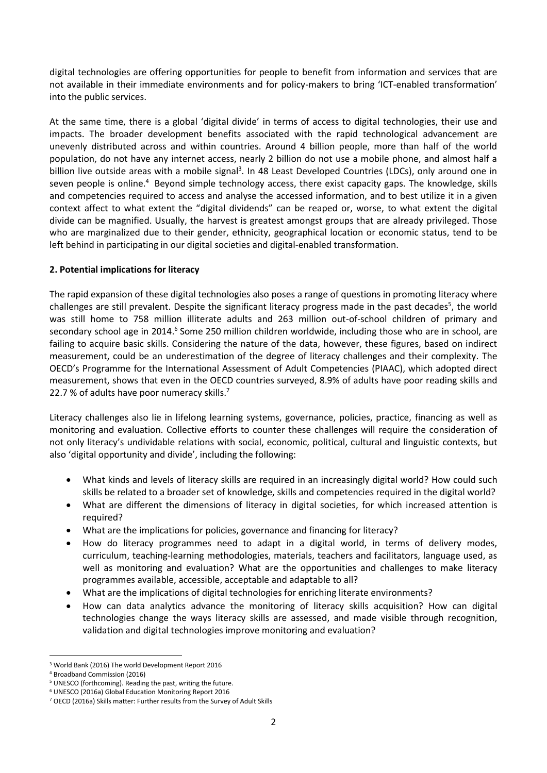digital technologies are offering opportunities for people to benefit from information and services that are not available in their immediate environments and for policy-makers to bring 'ICT-enabled transformation' into the public services.

At the same time, there is a global 'digital divide' in terms of access to digital technologies, their use and impacts. The broader development benefits associated with the rapid technological advancement are unevenly distributed across and within countries. Around 4 billion people, more than half of the world population, do not have any internet access, nearly 2 billion do not use a mobile phone, and almost half a billion live outside areas with a mobile signal<sup>3</sup>. In 48 Least Developed Countries (LDCs), only around one in seven people is online.<sup>4</sup> Beyond simple technology access, there exist capacity gaps. The knowledge, skills and competencies required to access and analyse the accessed information, and to best utilize it in a given context affect to what extent the "digital dividends" can be reaped or, worse, to what extent the digital divide can be magnified. Usually, the harvest is greatest amongst groups that are already privileged. Those who are marginalized due to their gender, ethnicity, geographical location or economic status, tend to be left behind in participating in our digital societies and digital-enabled transformation.

## **2. Potential implications for literacy**

The rapid expansion of these digital technologies also poses a range of questions in promoting literacy where challenges are still prevalent. Despite the significant literacy progress made in the past decades<sup>5</sup>, the world was still home to 758 million illiterate adults and 263 million out-of-school children of primary and secondary school age in 2014.<sup>6</sup> Some 250 million children worldwide, including those who are in school, are failing to acquire basic skills. Considering the nature of the data, however, these figures, based on indirect measurement, could be an underestimation of the degree of literacy challenges and their complexity. The OECD's Programme for the International Assessment of Adult Competencies (PIAAC), which adopted direct measurement, shows that even in the OECD countries surveyed, 8.9% of adults have poor reading skills and 22.7 % of adults have poor numeracy skills.<sup>7</sup>

Literacy challenges also lie in lifelong learning systems, governance, policies, practice, financing as well as monitoring and evaluation. Collective efforts to counter these challenges will require the consideration of not only literacy's undividable relations with social, economic, political, cultural and linguistic contexts, but also 'digital opportunity and divide', including the following:

- What kinds and levels of literacy skills are required in an increasingly digital world? How could such skills be related to a broader set of knowledge, skills and competencies required in the digital world?
- What are different the dimensions of literacy in digital societies, for which increased attention is required?
- What are the implications for policies, governance and financing for literacy?
- How do literacy programmes need to adapt in a digital world, in terms of delivery modes, curriculum, teaching-learning methodologies, materials, teachers and facilitators, language used, as well as monitoring and evaluation? What are the opportunities and challenges to make literacy programmes available, accessible, acceptable and adaptable to all?
- What are the implications of digital technologies for enriching literate environments?
- How can data analytics advance the monitoring of literacy skills acquisition? How can digital technologies change the ways literacy skills are assessed, and made visible through recognition, validation and digital technologies improve monitoring and evaluation?

**<sup>.</sup>** <sup>3</sup> World Bank (2016) The world Development Report 2016

<sup>4</sup> Broadband Commission (2016)

<sup>5</sup> UNESCO (forthcoming). Reading the past, writing the future.

<sup>6</sup> UNESCO (2016a) Global Education Monitoring Report 2016

<sup>7</sup> OECD (2016a) Skills matter: Further results from the Survey of Adult Skills